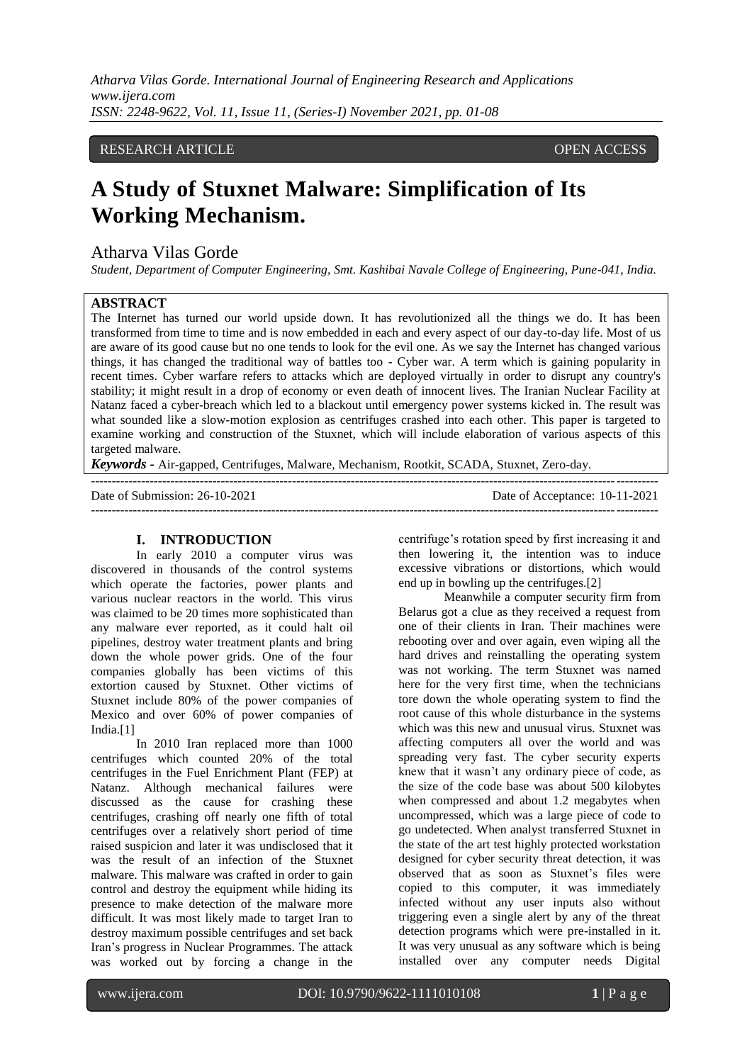*Atharva Vilas Gorde. International Journal of Engineering Research and Applications www.ijera.com ISSN: 2248-9622, Vol. 11, Issue 11, (Series-I) November 2021, pp. 01-08*

## RESEARCH ARTICLE **OPEN ACCESS**

# **A Study of Stuxnet Malware: Simplification of Its Working Mechanism.**

# Atharva Vilas Gorde

*Student, Department of Computer Engineering, Smt. Kashibai Navale College of Engineering, Pune-041, India.*

#### **ABSTRACT**

The Internet has turned our world upside down. It has revolutionized all the things we do. It has been transformed from time to time and is now embedded in each and every aspect of our day-to-day life. Most of us are aware of its good cause but no one tends to look for the evil one. As we say the Internet has changed various things, it has changed the traditional way of battles too - Cyber war. A term which is gaining popularity in recent times. Cyber warfare refers to attacks which are deployed virtually in order to disrupt any country's stability; it might result in a drop of economy or even death of innocent lives. The Iranian Nuclear Facility at Natanz faced a cyber-breach which led to a blackout until emergency power systems kicked in. The result was what sounded like a slow-motion explosion as centrifuges crashed into each other. This paper is targeted to examine working and construction of the Stuxnet, which will include elaboration of various aspects of this targeted malware.

*Keywords -* Air-gapped, Centrifuges, Malware, Mechanism, Rootkit, SCADA, Stuxnet, Zero-day.

---------------------------------------------------------------------------------------------------------------------------------------

| Date of Submission: 26-10-2021 | Date of Acceptance: 10-11-2021 |
|--------------------------------|--------------------------------|
|                                |                                |

#### **I. INTRODUCTION**

In early 2010 a computer virus was discovered in thousands of the control systems which operate the factories, power plants and various nuclear reactors in the world. This virus was claimed to be 20 times more sophisticated than any malware ever reported, as it could halt oil pipelines, destroy water treatment plants and bring down the whole power grids. One of the four companies globally has been victims of this extortion caused by Stuxnet. Other victims of Stuxnet include 80% of the power companies of Mexico and over 60% of power companies of India.[1]

In 2010 Iran replaced more than 1000 centrifuges which counted 20% of the total centrifuges in the Fuel Enrichment Plant (FEP) at Natanz. Although mechanical failures were discussed as the cause for crashing these centrifuges, crashing off nearly one fifth of total centrifuges over a relatively short period of time raised suspicion and later it was undisclosed that it was the result of an infection of the Stuxnet malware. This malware was crafted in order to gain control and destroy the equipment while hiding its presence to make detection of the malware more difficult. It was most likely made to target Iran to destroy maximum possible centrifuges and set back Iran's progress in Nuclear Programmes. The attack was worked out by forcing a change in the

centrifuge's rotation speed by first increasing it and then lowering it, the intention was to induce excessive vibrations or distortions, which would end up in bowling up the centrifuges.[2]

Meanwhile a computer security firm from Belarus got a clue as they received a request from one of their clients in Iran. Their machines were rebooting over and over again, even wiping all the hard drives and reinstalling the operating system was not working. The term Stuxnet was named here for the very first time, when the technicians tore down the whole operating system to find the root cause of this whole disturbance in the systems which was this new and unusual virus. Stuxnet was affecting computers all over the world and was spreading very fast. The cyber security experts knew that it wasn't any ordinary piece of code, as the size of the code base was about 500 kilobytes when compressed and about 1.2 megabytes when uncompressed, which was a large piece of code to go undetected. When analyst transferred Stuxnet in the state of the art test highly protected workstation designed for cyber security threat detection, it was observed that as soon as Stuxnet's files were copied to this computer, it was immediately infected without any user inputs also without triggering even a single alert by any of the threat detection programs which were pre-installed in it. It was very unusual as any software which is being installed over any computer needs Digital

www.ijera.com DOI: 10.9790/9622-1111010108 **1** | P a g e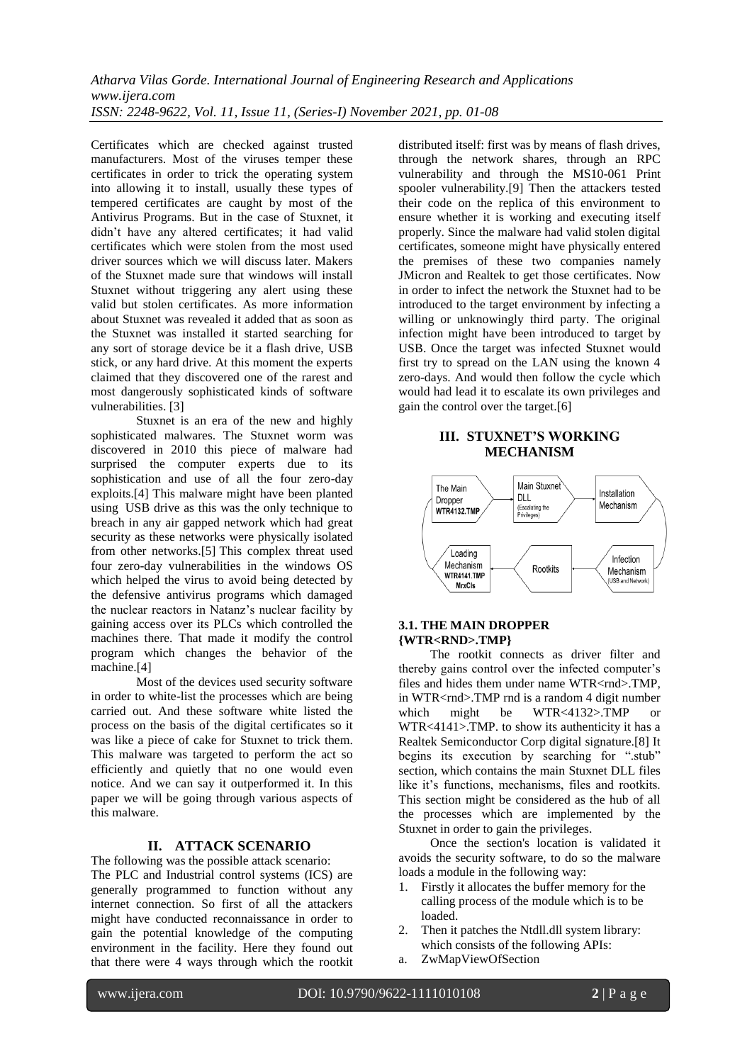Certificates which are checked against trusted manufacturers. Most of the viruses temper these certificates in order to trick the operating system into allowing it to install, usually these types of tempered certificates are caught by most of the Antivirus Programs. But in the case of Stuxnet, it didn't have any altered certificates; it had valid certificates which were stolen from the most used driver sources which we will discuss later. Makers of the Stuxnet made sure that windows will install Stuxnet without triggering any alert using these valid but stolen certificates. As more information about Stuxnet was revealed it added that as soon as the Stuxnet was installed it started searching for any sort of storage device be it a flash drive, USB stick, or any hard drive. At this moment the experts claimed that they discovered one of the rarest and most dangerously sophisticated kinds of software vulnerabilities. [3]

Stuxnet is an era of the new and highly sophisticated malwares. The Stuxnet worm was discovered in 2010 this piece of malware had surprised the computer experts due to its sophistication and use of all the four zero-day exploits.[4] This malware might have been planted using USB drive as this was the only technique to breach in any air gapped network which had great security as these networks were physically isolated from other networks.[5] This complex threat used four zero-day vulnerabilities in the windows OS which helped the virus to avoid being detected by the defensive antivirus programs which damaged the nuclear reactors in Natanz's nuclear facility by gaining access over its PLCs which controlled the machines there. That made it modify the control program which changes the behavior of the machine.[4]

Most of the devices used security software in order to white-list the processes which are being carried out. And these software white listed the process on the basis of the digital certificates so it was like a piece of cake for Stuxnet to trick them. This malware was targeted to perform the act so efficiently and quietly that no one would even notice. And we can say it outperformed it. In this paper we will be going through various aspects of this malware.

#### **II. ATTACK SCENARIO**

The following was the possible attack scenario: The PLC and Industrial control systems (ICS) are generally programmed to function without any internet connection. So first of all the attackers might have conducted reconnaissance in order to gain the potential knowledge of the computing environment in the facility. Here they found out that there were 4 ways through which the rootkit distributed itself: first was by means of flash drives, through the network shares, through an RPC vulnerability and through the MS10-061 Print spooler vulnerability.[9] Then the attackers tested their code on the replica of this environment to ensure whether it is working and executing itself properly. Since the malware had valid stolen digital certificates, someone might have physically entered the premises of these two companies namely JMicron and Realtek to get those certificates. Now in order to infect the network the Stuxnet had to be introduced to the target environment by infecting a willing or unknowingly third party. The original infection might have been introduced to target by USB. Once the target was infected Stuxnet would first try to spread on the LAN using the known 4 zero-days. And would then follow the cycle which would had lead it to escalate its own privileges and gain the control over the target.[6]

#### **III. STUXNET'S WORKING MECHANISM**



#### **3.1. THE MAIN DROPPER {WTR<RND>.TMP}**

The rootkit connects as driver filter and thereby gains control over the infected computer's files and hides them under name WTR<rnd>.TMP, in WTR<rnd>.TMP rnd is a random 4 digit number which might be WTR<4132>.TMP or WTR<4141>.TMP. to show its authenticity it has a Realtek Semiconductor Corp digital signature.[8] It begins its execution by searching for ".stub" section, which contains the main Stuxnet DLL files like it's functions, mechanisms, files and rootkits. This section might be considered as the hub of all the processes which are implemented by the Stuxnet in order to gain the privileges.

Once the section's location is validated it avoids the security software, to do so the malware loads a module in the following way:

- 1. Firstly it allocates the buffer memory for the calling process of the module which is to be loaded.
- 2. Then it patches the Ntdll.dll system library: which consists of the following APIs:
- a. ZwMapViewOfSection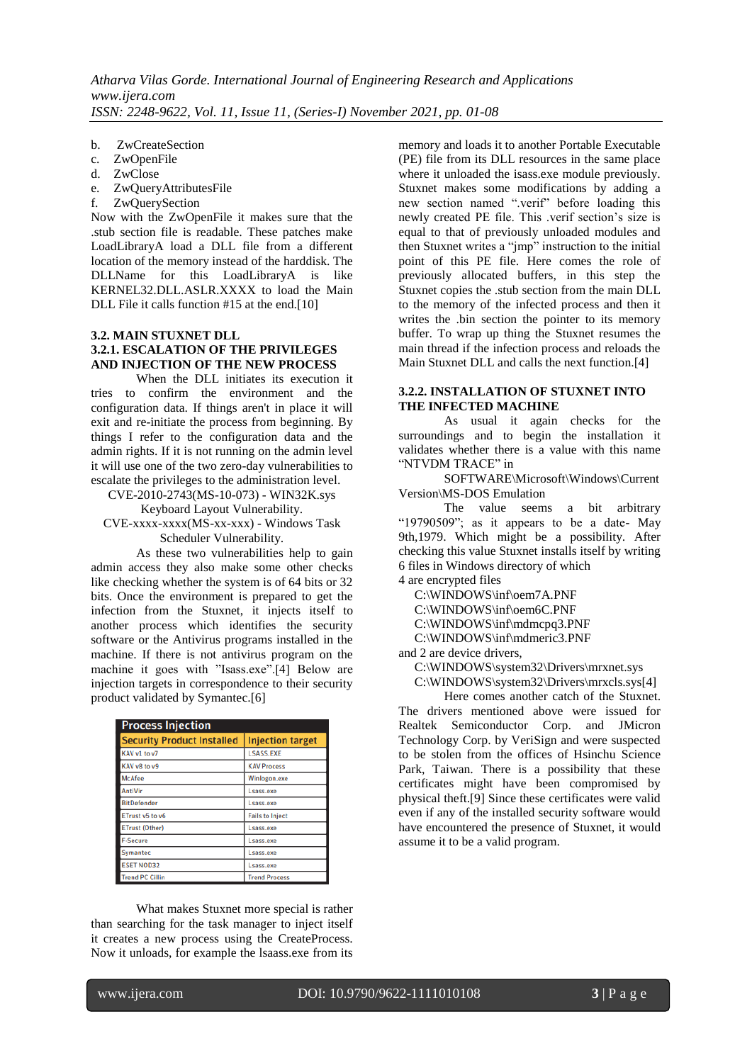- b. ZwCreateSection
- c. ZwOpenFile
- d. ZwClose
- e. ZwQueryAttributesFile
- f. ZwQuerySection

Now with the ZwOpenFile it makes sure that the .stub section file is readable. These patches make LoadLibraryA load a DLL file from a different location of the memory instead of the harddisk. The DLLName for this LoadLibraryA is like KERNEL32.DLL.ASLR.XXXX to load the Main DLL File it calls function #15 at the end.[10]

#### **3.2. MAIN STUXNET DLL 3.2.1. ESCALATION OF THE PRIVILEGES AND INJECTION OF THE NEW PROCESS**

When the DLL initiates its execution it tries to confirm the environment and the configuration data. If things aren't in place it will exit and re-initiate the process from beginning. By things I refer to the configuration data and the admin rights. If it is not running on the admin level it will use one of the two zero-day vulnerabilities to escalate the privileges to the administration level.

CVE-2010-2743(MS-10-073) - WIN32K.sys Keyboard Layout Vulnerability.

CVE-xxxx-xxxx(MS-xx-xxx) - Windows Task Scheduler Vulnerability.

As these two vulnerabilities help to gain admin access they also make some other checks like checking whether the system is of 64 bits or 32 bits. Once the environment is prepared to get the infection from the Stuxnet, it injects itself to another process which identifies the security software or the Antivirus programs installed in the machine. If there is not antivirus program on the machine it goes with "Isass.exe".[4] Below are injection targets in correspondence to their security product validated by Symantec.[6]

| <b>Process Injection</b>          |                         |  |  |
|-----------------------------------|-------------------------|--|--|
| <b>Security Product Installed</b> | <b>Injection target</b> |  |  |
| KAV v1 to v7                      | <b>LSASS.EXE</b>        |  |  |
| KAV v8 to v9                      | <b>KAV Process</b>      |  |  |
| <b>McAfee</b>                     | Winlogon.exe            |  |  |
| <b>AntiVir</b>                    | Lsass.exe               |  |  |
| <b>BitDefender</b>                | Lsass.exe               |  |  |
| ETrust v5 to v6                   | <b>Fails to Inject</b>  |  |  |
| <b>ETrust (Other)</b>             | Lsass.exe               |  |  |
| <b>F-Secure</b>                   | Lsass.exe               |  |  |
| Symantec                          | Lsass.exe               |  |  |
| <b>ESET NOD32</b>                 | Lsass.exe               |  |  |
| <b>Trend PC Cillin</b>            | <b>Trend Process</b>    |  |  |

What makes Stuxnet more special is rather than searching for the task manager to inject itself it creates a new process using the CreateProcess. Now it unloads, for example the lsaass.exe from its memory and loads it to another Portable Executable (PE) file from its DLL resources in the same place where it unloaded the isass.exe module previously. Stuxnet makes some modifications by adding a new section named ".verif" before loading this newly created PE file. This .verif section's size is equal to that of previously unloaded modules and then Stuxnet writes a "jmp" instruction to the initial point of this PE file. Here comes the role of previously allocated buffers, in this step the Stuxnet copies the .stub section from the main DLL to the memory of the infected process and then it writes the .bin section the pointer to its memory buffer. To wrap up thing the Stuxnet resumes the main thread if the infection process and reloads the Main Stuxnet DLL and calls the next function.[4]

# **3.2.2. INSTALLATION OF STUXNET INTO THE INFECTED MACHINE**

As usual it again checks for the surroundings and to begin the installation it validates whether there is a value with this name "NTVDM TRACE" in

SOFTWARE\Microsoft\Windows\Current Version\MS-DOS Emulation

The value seems a bit arbitrary "19790509"; as it appears to be a date- May 9th,1979. Which might be a possibility. After checking this value Stuxnet installs itself by writing 6 files in Windows directory of which

4 are encrypted files

C:\WINDOWS\inf\oem7A.PNF

C:\WINDOWS\inf\oem6C.PNF

C:\WINDOWS\inf\mdmcpq3.PNF

C:\WINDOWS\inf\mdmeric3.PNF

and 2 are device drivers,

C:\WINDOWS\system32\Drivers\mrxnet.sys

C:\WINDOWS\system32\Drivers\mrxcls.sys[4]

Here comes another catch of the Stuxnet. The drivers mentioned above were issued for Realtek Semiconductor Corp. and JMicron Technology Corp. by VeriSign and were suspected to be stolen from the offices of Hsinchu Science Park, Taiwan. There is a possibility that these certificates might have been compromised by physical theft.[9] Since these certificates were valid even if any of the installed security software would have encountered the presence of Stuxnet, it would assume it to be a valid program.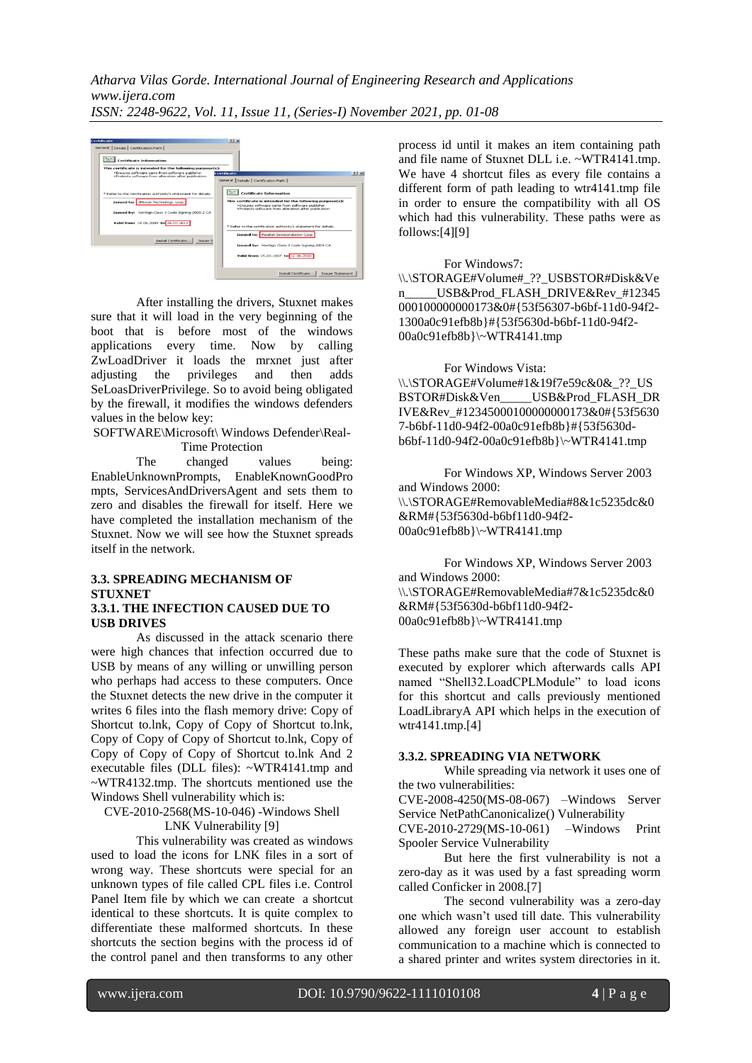*Atharva Vilas Gorde. International Journal of Engineering Research and Applications www.ijera.com ISSN: 2248-9622, Vol. 11, Issue 11, (Series-I) November 2021, pp. 01-08*



After installing the drivers, Stuxnet makes sure that it will load in the very beginning of the boot that is before most of the windows applications every time. Now by calling ZwLoadDriver it loads the mrxnet just after adjusting the privileges and then adds SeLoasDriverPrivilege. So to avoid being obligated by the firewall, it modifies the windows defenders values in the below key:

SOFTWARE\Microsoft\ Windows Defender\Real-Time Protection

The changed values being: EnableUnknownPrompts, EnableKnownGoodPro mpts, ServicesAndDriversAgent and sets them to zero and disables the firewall for itself. Here we have completed the installation mechanism of the Stuxnet. Now we will see how the Stuxnet spreads itself in the network.

#### **3.3. SPREADING MECHANISM OF STUXNET 3.3.1. THE INFECTION CAUSED DUE TO USB DRIVES**

As discussed in the attack scenario there were high chances that infection occurred due to USB by means of any willing or unwilling person who perhaps had access to these computers. Once the Stuxnet detects the new drive in the computer it writes 6 files into the flash memory drive: Copy of Shortcut to.lnk, Copy of Copy of Shortcut to.lnk, Copy of Copy of Copy of Shortcut to.lnk, Copy of Copy of Copy of Copy of Shortcut to.lnk And 2 executable files (DLL files): ~WTR4141.tmp and ~WTR4132.tmp. The shortcuts mentioned use the Windows Shell vulnerability which is:

CVE-2010-2568(MS-10-046) -Windows Shell LNK Vulnerability [9]

This vulnerability was created as windows used to load the icons for LNK files in a sort of wrong way. These shortcuts were special for an unknown types of file called CPL files i.e. Control Panel Item file by which we can create a shortcut identical to these shortcuts. It is quite complex to differentiate these malformed shortcuts. In these shortcuts the section begins with the process id of the control panel and then transforms to any other

process id until it makes an item containing path and file name of Stuxnet DLL i.e. ~WTR4141.tmp. We have 4 shortcut files as every file contains a different form of path leading to wtr4141.tmp file in order to ensure the compatibility with all OS which had this vulnerability. These paths were as follows:[4][9]

#### For Windows7:

\\.\STORAGE#Volume#\_??\_USBSTOR#Disk&Ve n\_\_\_\_\_USB&Prod\_FLASH\_DRIVE&Rev\_#12345 000100000000173&0#{53f56307-b6bf-11d0-94f2- 1300a0c91efb8b}#{53f5630d-b6bf-11d0-94f2- 00a0c91efb8b}\~WTR4141.tmp

For Windows Vista: \\.\STORAGE#Volume#1&19f7e59c&0&\_??\_US BSTOR#Disk&Ven USB&Prod\_FLASH\_DR IVE&Rev\_#12345000100000000173&0#{53f5630 7-b6bf-11d0-94f2-00a0c91efb8b}#{53f5630db6bf-11d0-94f2-00a0c91efb8b}\~WTR4141.tmp

For Windows XP, Windows Server 2003 and Windows 2000: \\.\STORAGE#RemovableMedia#8&1c5235dc&0 &RM#{53f5630d-b6bf11d0-94f2- 00a0c91efb8b}\~WTR4141.tmp

For Windows XP, Windows Server 2003 and Windows 2000: \\.\STORAGE#RemovableMedia#7&1c5235dc&0 &RM#{53f5630d-b6bf11d0-94f2- 00a0c91efb8b}\~WTR4141.tmp

These paths make sure that the code of Stuxnet is executed by explorer which afterwards calls API named "Shell32.LoadCPLModule" to load icons for this shortcut and calls previously mentioned LoadLibraryA API which helps in the execution of wtr4141.tmp.[4]

#### **3.3.2. SPREADING VIA NETWORK**

While spreading via network it uses one of the two vulnerabilities:

CVE-2008-4250(MS-08-067) –Windows Server Service NetPathCanonicalize() Vulnerability

CVE-2010-2729(MS-10-061) –Windows Print Spooler Service Vulnerability

But here the first vulnerability is not a zero-day as it was used by a fast spreading worm called Conficker in 2008.[7]

The second vulnerability was a zero-day one which wasn't used till date. This vulnerability allowed any foreign user account to establish communication to a machine which is connected to a shared printer and writes system directories in it.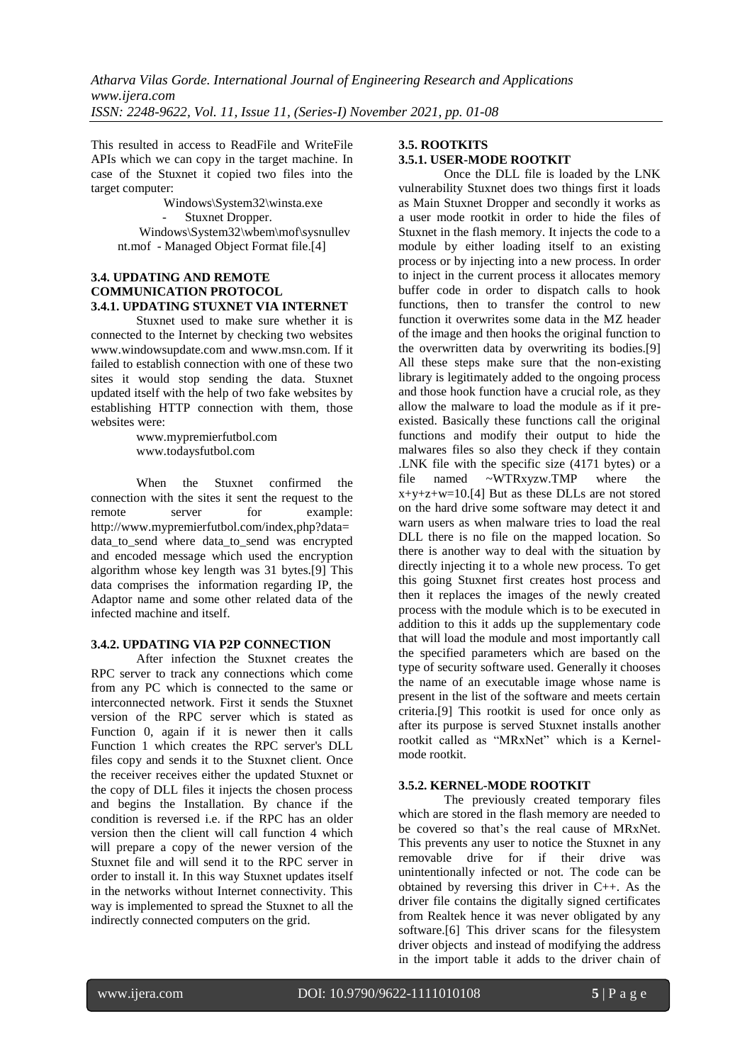This resulted in access to ReadFile and WriteFile APIs which we can copy in the target machine. In case of the Stuxnet it copied two files into the target computer:

> Windows\System32\winsta.exe Stuxnet Dropper. Windows\System32\wbem\mof\sysnullev nt.mof - Managed Object Format file.[4]

#### **3.4. UPDATING AND REMOTE COMMUNICATION PROTOCOL 3.4.1. UPDATING STUXNET VIA INTERNET**

Stuxnet used to make sure whether it is connected to the Internet by checking two websites [www.windowsupdate.com](http://www.windowsupdate.com/) and [www.msn.com.](http://www.msn.com/) If it failed to establish connection with one of these two sites it would stop sending the data. Stuxnet updated itself with the help of two fake websites by establishing HTTP connection with them, those websites were:

> www.mypremierfutbol.com www.todaysfutbol.com

When the Stuxnet confirmed the connection with the sites it sent the request to the remote server for example: http://www.mypremierfutbol.com/index,php?data= data\_to\_send where data\_to\_send was encrypted and encoded message which used the encryption algorithm whose key length was 31 bytes.[9] This data comprises the information regarding IP, the Adaptor name and some other related data of the infected machine and itself.

# **3.4.2. UPDATING VIA P2P CONNECTION**

After infection the Stuxnet creates the RPC server to track any connections which come from any PC which is connected to the same or interconnected network. First it sends the Stuxnet version of the RPC server which is stated as Function 0, again if it is newer then it calls Function 1 which creates the RPC server's DLL files copy and sends it to the Stuxnet client. Once the receiver receives either the updated Stuxnet or the copy of DLL files it injects the chosen process and begins the Installation. By chance if the condition is reversed i.e. if the RPC has an older version then the client will call function 4 which will prepare a copy of the newer version of the Stuxnet file and will send it to the RPC server in order to install it. In this way Stuxnet updates itself in the networks without Internet connectivity. This way is implemented to spread the Stuxnet to all the indirectly connected computers on the grid.

# **3.5. ROOTKITS 3.5.1. USER-MODE ROOTKIT**

Once the DLL file is loaded by the LNK vulnerability Stuxnet does two things first it loads as Main Stuxnet Dropper and secondly it works as a user mode rootkit in order to hide the files of Stuxnet in the flash memory. It injects the code to a module by either loading itself to an existing process or by injecting into a new process. In order to inject in the current process it allocates memory buffer code in order to dispatch calls to hook functions, then to transfer the control to new function it overwrites some data in the MZ header of the image and then hooks the original function to the overwritten data by overwriting its bodies.[9] All these steps make sure that the non-existing library is legitimately added to the ongoing process and those hook function have a crucial role, as they allow the malware to load the module as if it preexisted. Basically these functions call the original functions and modify their output to hide the malwares files so also they check if they contain .LNK file with the specific size (4171 bytes) or a file named ~WTRxyzw.TMP where the  $x+y+z+w=10$ .[4] But as these DLLs are not stored on the hard drive some software may detect it and warn users as when malware tries to load the real DLL there is no file on the mapped location. So there is another way to deal with the situation by directly injecting it to a whole new process. To get this going Stuxnet first creates host process and then it replaces the images of the newly created process with the module which is to be executed in addition to this it adds up the supplementary code that will load the module and most importantly call the specified parameters which are based on the type of security software used. Generally it chooses the name of an executable image whose name is present in the list of the software and meets certain criteria.[9] This rootkit is used for once only as after its purpose is served Stuxnet installs another rootkit called as "MRxNet" which is a Kernelmode rootkit.

# **3.5.2. KERNEL-MODE ROOTKIT**

The previously created temporary files which are stored in the flash memory are needed to be covered so that's the real cause of MRxNet. This prevents any user to notice the Stuxnet in any removable drive for if their drive was unintentionally infected or not. The code can be obtained by reversing this driver in C++. As the driver file contains the digitally signed certificates from Realtek hence it was never obligated by any software.[6] This driver scans for the filesystem driver objects and instead of modifying the address in the import table it adds to the driver chain of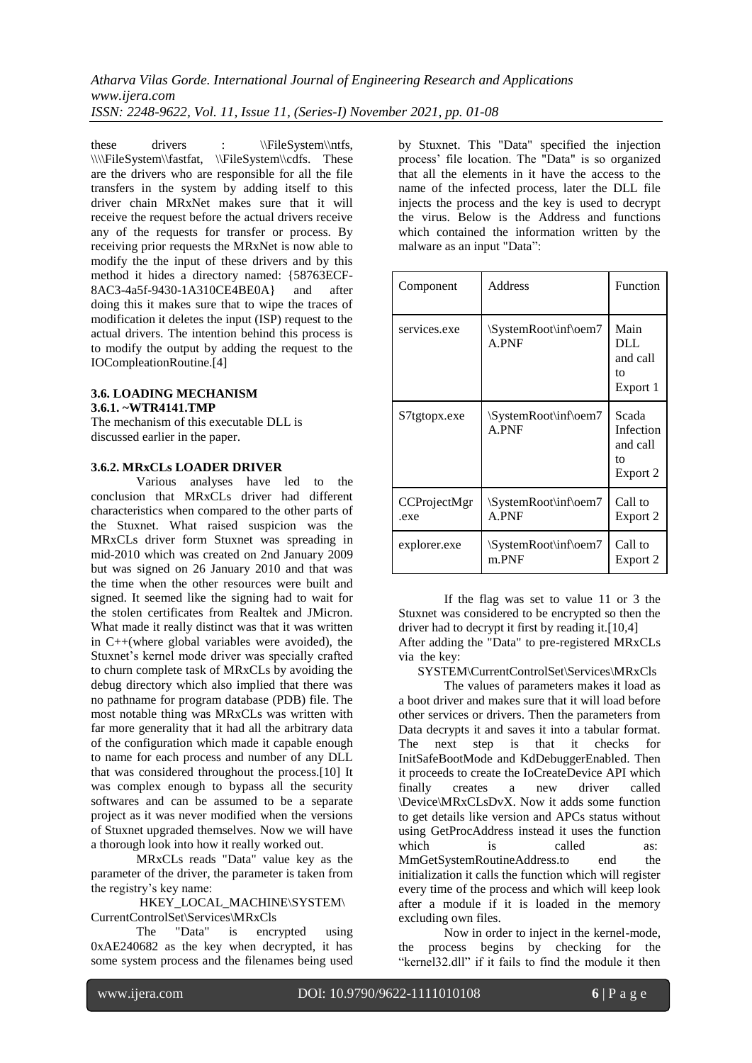*Atharva Vilas Gorde. International Journal of Engineering Research and Applications www.ijera.com ISSN: 2248-9622, Vol. 11, Issue 11, (Series-I) November 2021, pp. 01-08*

these drivers : \\FileSystem\\ntfs, \\\\\FileSystem\\fastfat, \\FileSystem\\cdfs. These are the drivers who are responsible for all the file transfers in the system by adding itself to this driver chain MRxNet makes sure that it will receive the request before the actual drivers receive any of the requests for transfer or process. By receiving prior requests the MRxNet is now able to modify the the input of these drivers and by this method it hides a directory named: {58763ECF-8AC3-4a5f-9430-1A310CE4BE0A} and after doing this it makes sure that to wipe the traces of modification it deletes the input (ISP) request to the actual drivers. The intention behind this process is to modify the output by adding the request to the IOCompleationRoutine.[4]

#### **3.6. LOADING MECHANISM 3.6.1. ~WTR4141.TMP**

The mechanism of this executable DLL is discussed earlier in the paper.

#### **3.6.2. MRxCLs LOADER DRIVER**

Various analyses have led to the conclusion that MRxCLs driver had different characteristics when compared to the other parts of the Stuxnet. What raised suspicion was the MRxCLs driver form Stuxnet was spreading in mid-2010 which was created on 2nd January 2009 but was signed on 26 January 2010 and that was the time when the other resources were built and signed. It seemed like the signing had to wait for the stolen certificates from Realtek and JMicron. What made it really distinct was that it was written in C++(where global variables were avoided), the Stuxnet's kernel mode driver was specially crafted to churn complete task of MRxCLs by avoiding the debug directory which also implied that there was no pathname for program database (PDB) file. The most notable thing was MRxCLs was written with far more generality that it had all the arbitrary data of the configuration which made it capable enough to name for each process and number of any DLL that was considered throughout the process.[10] It was complex enough to bypass all the security softwares and can be assumed to be a separate project as it was never modified when the versions of Stuxnet upgraded themselves. Now we will have a thorough look into how it really worked out.

MRxCLs reads "Data" value key as the parameter of the driver, the parameter is taken from the registry's key name:

HKEY\_LOCAL\_MACHINE\SYSTEM\ CurrentControlSet\Services\MRxCls

The "Data" is encrypted using 0xAE240682 as the key when decrypted, it has some system process and the filenames being used by Stuxnet. This "Data" specified the injection process' file location. The "Data" is so organized that all the elements in it have the access to the name of the infected process, later the DLL file injects the process and the key is used to decrypt the virus. Below is the Address and functions which contained the information written by the malware as an input "Data":

| Component            | Address                       | Function                                         |
|----------------------|-------------------------------|--------------------------------------------------|
| services.exe         | SystemRoot\inf\oem7<br>A.PNF  | Main<br>DLL<br>and call<br>tο<br>Export 1        |
| S7tgtopx.exe         | SystemRoot\inf\oem7<br>A.PNF  | Scada<br>Infection<br>and call<br>tο<br>Export 2 |
| CCProjectMgr<br>.exe | \SystemRoot\inf\oem7<br>A.PNF | Call to<br>Export 2                              |
| explorer.exe         | \SystemRoot\inf\oem7<br>m.PNF | Call to<br>Export 2                              |

If the flag was set to value 11 or 3 the Stuxnet was considered to be encrypted so then the driver had to decrypt it first by reading it.[10,4] After adding the "Data" to pre-registered MRxCLs via the key:

SYSTEM\CurrentControlSet\Services\MRxCls

The values of parameters makes it load as a boot driver and makes sure that it will load before other services or drivers. Then the parameters from Data decrypts it and saves it into a tabular format. The next step is that it checks for InitSafeBootMode and KdDebuggerEnabled. Then it proceeds to create the IoCreateDevice API which finally creates a new driver called \Device\MRxCLsDvX. Now it adds some function to get details like version and APCs status without using GetProcAddress instead it uses the function which is called as: MmGetSystemRoutineAddress.to end the initialization it calls the function which will register every time of the process and which will keep look after a module if it is loaded in the memory excluding own files.

Now in order to inject in the kernel-mode, the process begins by checking for the "kernel32.dll" if it fails to find the module it then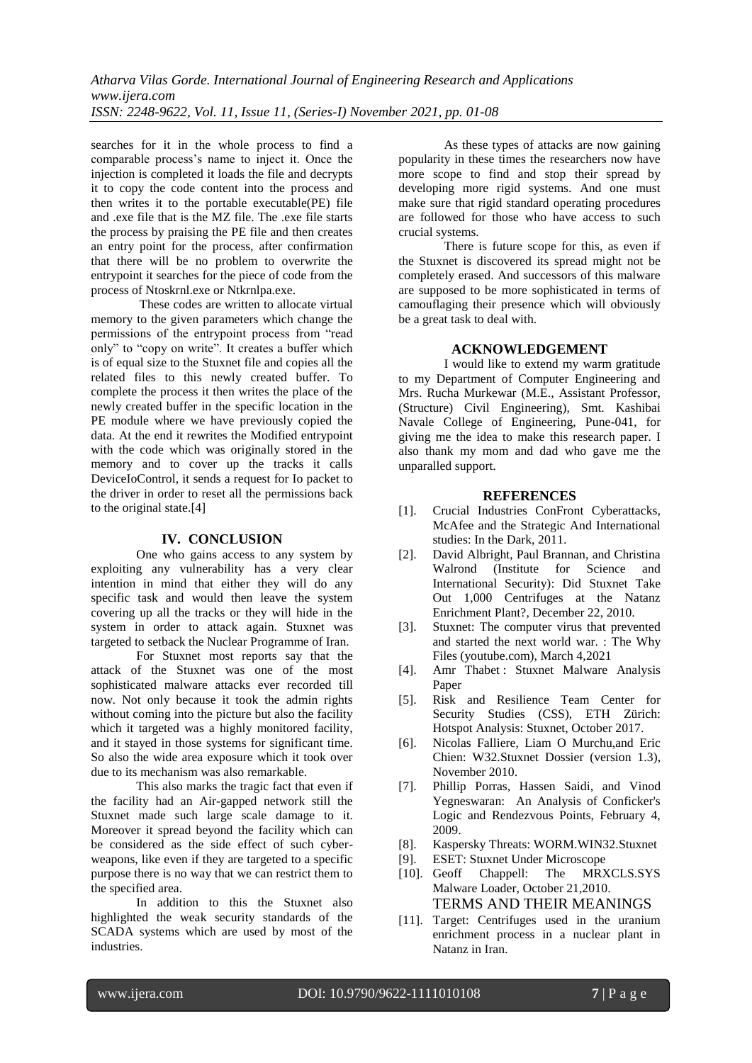searches for it in the whole process to find a comparable process's name to inject it. Once the injection is completed it loads the file and decrypts it to copy the code content into the process and then writes it to the portable executable(PE) file and .exe file that is the MZ file. The .exe file starts the process by praising the PE file and then creates an entry point for the process, after confirmation that there will be no problem to overwrite the entrypoint it searches for the piece of code from the process of Ntoskrnl.exe or Ntkrnlpa.exe.

These codes are written to allocate virtual memory to the given parameters which change the permissions of the entrypoint process from "read only" to "copy on write". It creates a buffer which is of equal size to the Stuxnet file and copies all the related files to this newly created buffer. To complete the process it then writes the place of the newly created buffer in the specific location in the PE module where we have previously copied the data. At the end it rewrites the Modified entrypoint with the code which was originally stored in the memory and to cover up the tracks it calls DeviceIoControl, it sends a request for Io packet to the driver in order to reset all the permissions back to the original state.[4]

#### **IV. CONCLUSION**

One who gains access to any system by exploiting any vulnerability has a very clear intention in mind that either they will do any specific task and would then leave the system covering up all the tracks or they will hide in the system in order to attack again. Stuxnet was targeted to setback the Nuclear Programme of Iran.

For Stuxnet most reports say that the attack of the Stuxnet was one of the most sophisticated malware attacks ever recorded till now. Not only because it took the admin rights without coming into the picture but also the facility which it targeted was a highly monitored facility, and it stayed in those systems for significant time. So also the wide area exposure which it took over due to its mechanism was also remarkable.

This also marks the tragic fact that even if the facility had an Air-gapped network still the Stuxnet made such large scale damage to it. Moreover it spread beyond the facility which can be considered as the side effect of such cyberweapons, like even if they are targeted to a specific purpose there is no way that we can restrict them to the specified area.

In addition to this the Stuxnet also highlighted the weak security standards of the SCADA systems which are used by most of the industries.

As these types of attacks are now gaining popularity in these times the researchers now have more scope to find and stop their spread by developing more rigid systems. And one must make sure that rigid standard operating procedures are followed for those who have access to such crucial systems.

There is future scope for this, as even if the Stuxnet is discovered its spread might not be completely erased. And successors of this malware are supposed to be more sophisticated in terms of camouflaging their presence which will obviously be a great task to deal with.

## **ACKNOWLEDGEMENT**

I would like to extend my warm gratitude to my Department of Computer Engineering and Mrs. Rucha Murkewar (M.E., Assistant Professor, (Structure) Civil Engineering), Smt. Kashibai Navale College of Engineering, Pune-041, for giving me the idea to make this research paper. I also thank my mom and dad who gave me the unparalled support.

#### **REFERENCES**

- [1]. Crucial Industries ConFront Cyberattacks, McAfee and the Strategic And International studies: In the Dark, 2011.
- [2]. David Albright, Paul Brannan, and Christina Walrond (Institute for Science and International Security): Did Stuxnet Take Out 1,000 Centrifuges at the Natanz Enrichment Plant?, December 22, 2010.
- [3]. Stuxnet: The computer virus that prevented and started the next world war. : The Why Files (youtube.com), March 4,2021
- [4]. Amr Thabet: Stuxnet Malware Analysis Paper
- [5]. Risk and Resilience Team Center for Security Studies (CSS), ETH Zürich: Hotspot Analysis: Stuxnet, October 2017.
- [6]. Nicolas Falliere, Liam O Murchu,and Eric Chien: W32.Stuxnet Dossier (version 1.3), November 2010.
- [7]. Phillip Porras, Hassen Saidi, and Vinod Yegneswaran: An Analysis of Conficker's Logic and Rendezvous Points, February 4, 2009.
- [8]. Kaspersky Threats: WORM.WIN32.Stuxnet
- [9]. ESET: Stuxnet Under Microscope
- [10]. Geoff Chappell: The MRXCLS.SYS Malware Loader, October 21,2010. TERMS AND THEIR MEANINGS
- [11]. Target: Centrifuges used in the uranium enrichment process in a nuclear plant in Natanz in Iran.